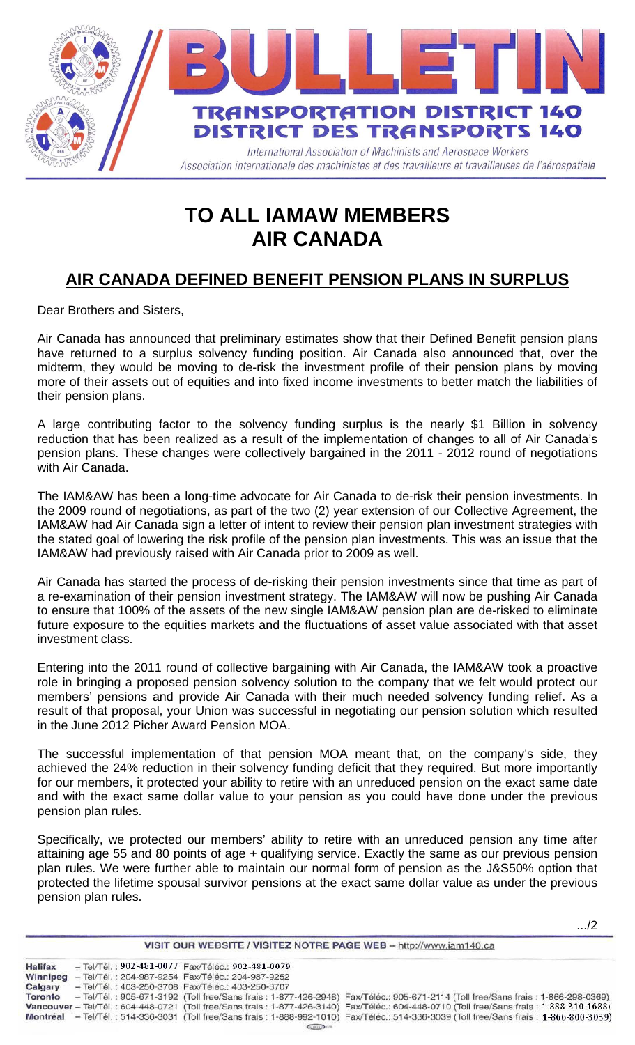

## **TO ALL IAMAW MEMBERS AIR CANADA**

## **AIR CANADA DEFINED BENEFIT PENSION PLANS IN SURPLUS**

Dear Brothers and Sisters,

Air Canada has announced that preliminary estimates show that their Defined Benefit pension plans have returned to a surplus solvency funding position. Air Canada also announced that, over the midterm, they would be moving to de-risk the investment profile of their pension plans by moving more of their assets out of equities and into fixed income investments to better match the liabilities of their pension plans.

A large contributing factor to the solvency funding surplus is the nearly \$1 Billion in solvency reduction that has been realized as a result of the implementation of changes to all of Air Canada's pension plans. These changes were collectively bargained in the 2011 - 2012 round of negotiations with Air Canada.

The IAM&AW has been a long-time advocate for Air Canada to de-risk their pension investments. In the 2009 round of negotiations, as part of the two (2) year extension of our Collective Agreement, the IAM&AW had Air Canada sign a letter of intent to review their pension plan investment strategies with the stated goal of lowering the risk profile of the pension plan investments. This was an issue that the IAM&AW had previously raised with Air Canada prior to 2009 as well.

Air Canada has started the process of de-risking their pension investments since that time as part of a re-examination of their pension investment strategy. The IAM&AW will now be pushing Air Canada to ensure that 100% of the assets of the new single IAM&AW pension plan are de-risked to eliminate future exposure to the equities markets and the fluctuations of asset value associated with that asset investment class.

Entering into the 2011 round of collective bargaining with Air Canada, the IAM&AW took a proactive role in bringing a proposed pension solvency solution to the company that we felt would protect our members' pensions and provide Air Canada with their much needed solvency funding relief. As a result of that proposal, your Union was successful in negotiating our pension solution which resulted in the June 2012 Picher Award Pension MOA.

The successful implementation of that pension MOA meant that, on the company's side, they achieved the 24% reduction in their solvency funding deficit that they required. But more importantly for our members, it protected your ability to retire with an unreduced pension on the exact same date and with the exact same dollar value to your pension as you could have done under the previous pension plan rules.

Specifically, we protected our members' ability to retire with an unreduced pension any time after attaining age 55 and 80 points of age + qualifying service. Exactly the same as our previous pension plan rules. We were further able to maintain our normal form of pension as the J&S50% option that protected the lifetime spousal survivor pensions at the exact same dollar value as under the previous pension plan rules.

.../2